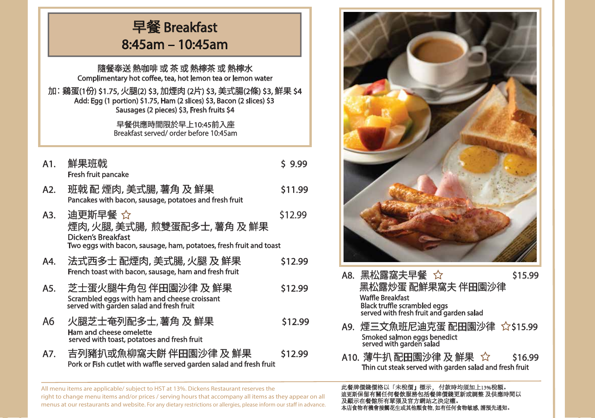|                                                                                                                                                                                                                                                                                | 早餐 Breakfast<br>8:45am - 10:45am                                                                                                         |         |  |  |
|--------------------------------------------------------------------------------------------------------------------------------------------------------------------------------------------------------------------------------------------------------------------------------|------------------------------------------------------------------------------------------------------------------------------------------|---------|--|--|
| 隨餐奉送 熱咖啡 或 茶 或 熱檸茶 或 熱檸水<br>Complimentary hot coffee, tea, hot lemon tea or lemon water<br>加:鷄蛋(1份) \$1.75, 火腿(2) \$3, 加煙肉 (2片) \$3, 美式腸(2條) \$3, 鮮果 \$4<br>Add: Egg (1 portion) \$1.75, Ham (2 slices) \$3, Bacon (2 slices) \$3<br>Sausages (2 pieces) \$3, Fresh fruits \$4 |                                                                                                                                          |         |  |  |
|                                                                                                                                                                                                                                                                                | 早餐供應時間限於早上10:45前入座<br>Breakfast served/order before 10:45am                                                                              |         |  |  |
| A1.                                                                                                                                                                                                                                                                            | 鮮果班戟<br><b>Fresh fruit pancake</b>                                                                                                       | \$ 9.99 |  |  |
| A2.                                                                                                                                                                                                                                                                            | 班戟 配 煙肉, 美式腸, 薯角 及 鮮果<br>Pancakes with bacon, sausage, potatoes and fresh fruit                                                          | \$11.99 |  |  |
| A3.                                                                                                                                                                                                                                                                            | 迪更斯早餐 ☆<br>煙肉,火腿,美式腸, 煎雙蛋配多士, 薯角 及 鮮果<br><b>Dicken's Breakfast</b><br>Two eggs with bacon, sausage, ham, potatoes, fresh fruit and toast | \$12.99 |  |  |
| A4.                                                                                                                                                                                                                                                                            | 法式西多士 配煙肉, 美式腸, 火腿 及 鮮果<br>French toast with bacon, sausage, ham and fresh fruit                                                         | \$12.99 |  |  |
| A5.                                                                                                                                                                                                                                                                            | 芝士蛋火腿牛角包 伴田園沙律 及 鮮果<br>Scrambled eggs with ham and cheese croissant<br>served with garden salad and fresh fruit                          | \$12.99 |  |  |
| А6                                                                                                                                                                                                                                                                             | 火腿芝士奄列配多士,薯角 及 鮮果<br>Ham and cheese omelette<br>served with toast, potatoes and fresh fruit                                              | \$12.99 |  |  |
| A7.                                                                                                                                                                                                                                                                            | 吉列豬扒或魚柳窩夫餅 伴田園沙律 及 鮮果<br>Pork or Fish cutlet with waffle served garden salad and fresh fruit                                             | \$12.99 |  |  |



- A8. 黑松露窩夫早餐 ☆  $\sim$  \$15.99 黑松露炒蛋 配鮮果窩夫 伴田園沙律<br>Waffle Breakfast Black truffle scrambled eggs served with fresh fruit and garden salad
- A9. 煙三文魚班尼迪克蛋 配田園沙律 ☆\$15.99<br>Smoked salmon eggs benedict<br>served with garden salad
- A10. 薄牛扒 配田園沙律 及 鮮果  $\sqrt{\ }$  \$16.99<br>Thin cut steak served with garden salad and fresh fruit

此餐牌價錢價格以「未稅價」標示, 付款時均須加上13%稅額。 迪更斯保留有關任何餐飲服務包括餐牌價錢更新或調整 及供應時間以 及顯示在餐館所有單張及官方網站之決定權。<br>本店食物有機會接觸花生或其他類食物,如有任何 本店食物有機會接觸花生或其他類食物, 如有任何食物敏感, 請預先通知。

All menu items are applicable/ subject to HST at 13%. Dickens Restaurant reserves the right to change menu items and/or prices / serving hours that accompany all items as they appear on all menus at our restaurants and website. For any dietary restrictions or allergies, please inform our staff in advance.